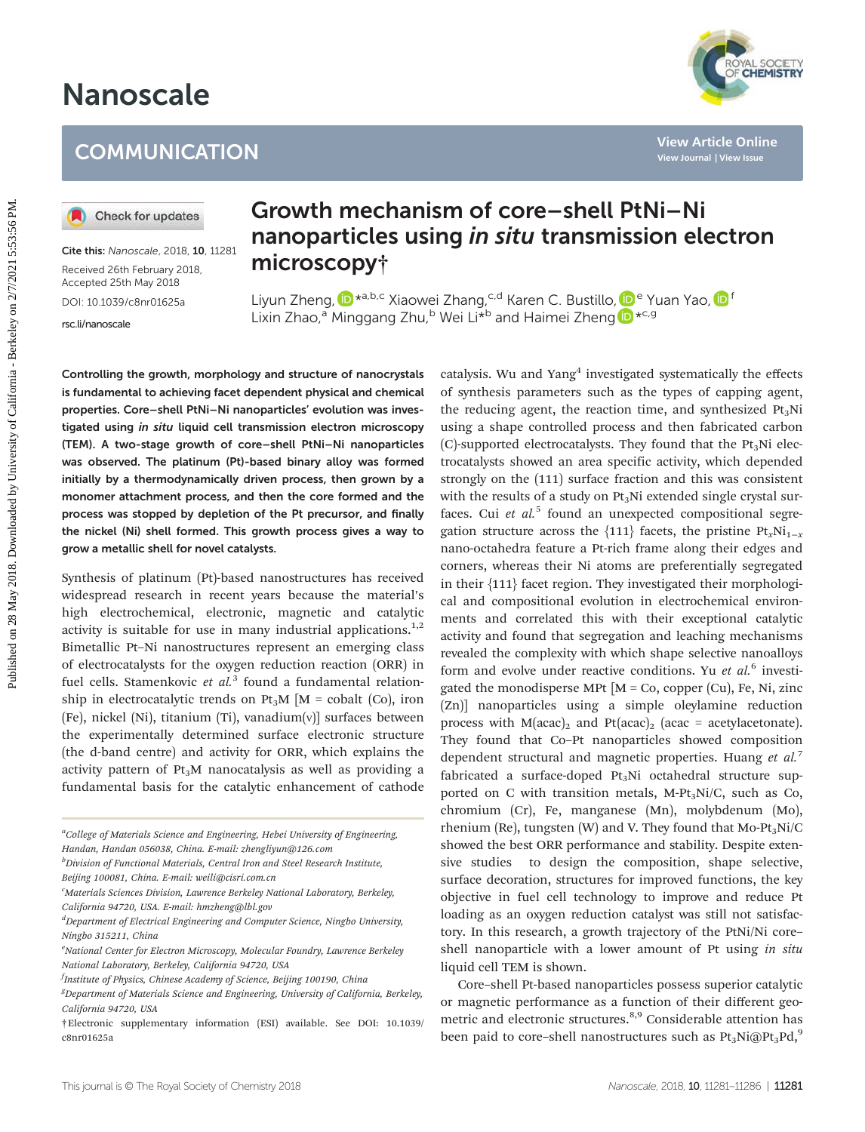# Nanoscale

# **COMMUNICATION**

Cite this: Nanoscale, 2018, 10, 11281 Received 26th February 2018, Accepted 25th May 2018 DOI: 10.1039/c8nr01625a

[rsc.li/nanoscale](www.rsc.li/nanoscale)

# Growth mechanism of core–shell PtNi–Ni nanoparticles using in situ transmission electron microscopy†

Liyun Zheng, D<sup>\*a,b,c</sup> Xiaowei Zhang,<sup>c,d</sup> Karen C. Bustillo, D<sup>e</sup> Yuan Yao, D<sup>f</sup> Lixin Zhao,<sup>a</sup> Minggang Zhu,<sup>b</sup> Wei Li<sup>\*b</sup> and Haimei Zheng D<sup>\*c,g</sup>

Controlling the growth, morphology and structure of nanocrystals is fundamental to achieving facet dependent physical and chemical properties. Core–shell PtNi–Ni nanoparticles' evolution was investigated using in situ liquid cell transmission electron microscopy (TEM). A two-stage growth of core–shell PtNi–Ni nanoparticles was observed. The platinum (Pt)-based binary alloy was formed initially by a thermodynamically driven process, then grown by a monomer attachment process, and then the core formed and the process was stopped by depletion of the Pt precursor, and finally the nickel (Ni) shell formed. This growth process gives a way to grow a metallic shell for novel catalysts.

Synthesis of platinum (Pt)-based nanostructures has received widespread research in recent years because the material's high electrochemical, electronic, magnetic and catalytic activity is suitable for use in many industrial applications.<sup>1,2</sup> Bimetallic Pt–Ni nanostructures represent an emerging class of electrocatalysts for the oxygen reduction reaction (ORR) in fuel cells. Stamenkovic et  $al<sup>3</sup>$  found a fundamental relationship in electrocatalytic trends on Pt<sub>3</sub>M  $[M = \text{cobalt } (Co), \text{ iron}$ (Fe), nickel (Ni), titanium (Ti), vanadium $(v)$ ] surfaces between the experimentally determined surface electronic structure (the d-band centre) and activity for ORR, which explains the activity pattern of  $Pt<sub>3</sub>M$  nanocatalysis as well as providing a fundamental basis for the catalytic enhancement of cathode

<sup>a</sup>College of Materials Science and Engineering, Hebei University of Engineering, Handan, Handan 056038, China. E-mail: zhengliyun@126.com

<sup>b</sup>Division of Functional Materials, Central Iron and Steel Research Institute, Beijing 100081, China. E-mail: weili@cisri.com.cn

<sup>c</sup>Materials Sciences Division, Lawrence Berkeley National Laboratory, Berkeley, California 94720, USA. E-mail: hmzheng@lbl.gov

<sup>d</sup>Department of Electrical Engineering and Computer Science, Ningbo University, Ningbo 315211, China

catalysis. Wu and Yang<sup>4</sup> investigated systematically the effects of synthesis parameters such as the types of capping agent, the reducing agent, the reaction time, and synthesized  $Pt<sub>3</sub>Ni$ using a shape controlled process and then fabricated carbon  $(C)$ -supported electrocatalysts. They found that the Pt<sub>3</sub>Ni electrocatalysts showed an area specific activity, which depended strongly on the (111) surface fraction and this was consistent with the results of a study on  $Pt_3Ni$  extended single crystal surfaces. Cui et  $al<sup>5</sup>$  found an unexpected compositional segregation structure across the {111} facets, the pristine  $Pt_xNi_{1-x}$ nano-octahedra feature a Pt-rich frame along their edges and corners, whereas their Ni atoms are preferentially segregated in their {111} facet region. They investigated their morphological and compositional evolution in electrochemical environments and correlated this with their exceptional catalytic activity and found that segregation and leaching mechanisms revealed the complexity with which shape selective nanoalloys form and evolve under reactive conditions. Yu et  $al$ .<sup>6</sup> investigated the monodisperse MPt  $[M = Co, copper (Cu), Fe, Ni, zinc]$ (Zn)] nanoparticles using a simple oleylamine reduction process with  $M(acac)_2$  and  $Pt(acac)_2$  (acac = acetylacetonate). They found that Co–Pt nanoparticles showed composition dependent structural and magnetic properties. Huang et al.<sup>7</sup> fabricated a surface-doped  $Pt<sub>3</sub>Ni$  octahedral structure supported on C with transition metals, M-Pt<sub>3</sub>Ni/C, such as Co, chromium (Cr), Fe, manganese (Mn), molybdenum (Mo), rhenium (Re), tungsten (W) and V. They found that Mo-Pt<sub>3</sub>Ni/C showed the best ORR performance and stability. Despite extensive studies to design the composition, shape selective, surface decoration, structures for improved functions, the key objective in fuel cell technology to improve and reduce Pt loading as an oxygen reduction catalyst was still not satisfactory. In this research, a growth trajectory of the PtNi/Ni core– shell nanoparticle with a lower amount of Pt using in situ liquid cell TEM is shown. **COMMUNICATION**<br> **COMMUNICATION**<br> **COMMUNICATION**<br> **COMMUNICATION**<br> **COMMUNICATION**<br> **CONSECTION CONSECTION**<br> **EXECTNS COMMUNITY CONSECTION**<br> **EXECTNS COMMUNITY CONSECTION**<br> **EXECTNS COMMUNITY CONSECTION**<br> **EXECTNS COMMUN** 

Core–shell Pt-based nanoparticles possess superior catalytic or magnetic performance as a function of their different geometric and electronic structures.<sup>8,9</sup> Considerable attention has *†Electronic supplementary information* (ESI) available. See DOI: 10.1039/ **metric and electronic structures.**<sup>252</sup> Considerable attention has  $Pt_3Ni@Pt_3Pd$ ,<sup>9</sup>  $Pt_4Ni@Pt_3Pd$ ,<sup>9</sup>



<sup>&</sup>lt;sup>e</sup>National Center for Electron Microscopy, Molecular Foundry, Lawrence Berkeley National Laboratory, Berkeley, California 94720, USA

<sup>&</sup>lt;sup>f</sup>Institute of Physics, Chinese Academy of Science, Beijing 100190, China

<sup>&</sup>lt;sup>g</sup>Department of Materials Science and Engineering, University of California, Berkeley, California 94720, USA

c8nr01625a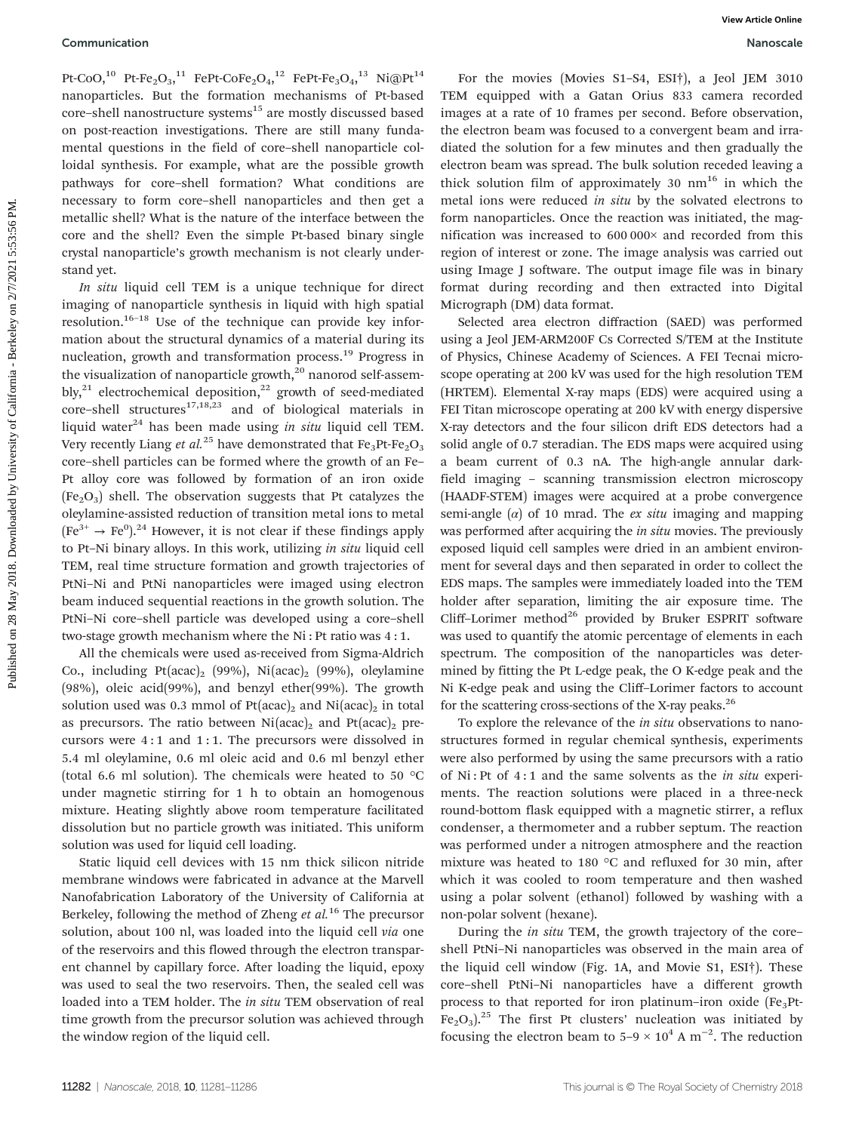#### Communication Nanoscale

Pt-CoO,<sup>10</sup> Pt-Fe<sub>2</sub>O<sub>3</sub>,<sup>11</sup> FePt-CoFe<sub>2</sub>O<sub>4</sub>,<sup>12</sup> FePt-Fe<sub>3</sub>O<sub>4</sub>,<sup>13</sup> Ni@Pt<sup>14</sup> nanoparticles. But the formation mechanisms of Pt-based core-shell nanostructure systems<sup>15</sup> are mostly discussed based on post-reaction investigations. There are still many fundamental questions in the field of core–shell nanoparticle colloidal synthesis. For example, what are the possible growth pathways for core–shell formation? What conditions are necessary to form core–shell nanoparticles and then get a metallic shell? What is the nature of the interface between the core and the shell? Even the simple Pt-based binary single crystal nanoparticle's growth mechanism is not clearly understand yet.

In situ liquid cell TEM is a unique technique for direct imaging of nanoparticle synthesis in liquid with high spatial resolution.<sup>16–18</sup> Use of the technique can provide key information about the structural dynamics of a material during its nucleation, growth and transformation process.<sup>19</sup> Progress in the visualization of nanoparticle growth, $20$  nanorod self-assembly,<sup>21</sup> electrochemical deposition,<sup>22</sup> growth of seed-mediated core–shell structures<sup>17,18,23</sup> and of biological materials in liquid water<sup>24</sup> has been made using in situ liquid cell TEM. Very recently Liang et al.<sup>25</sup> have demonstrated that  $Fe<sub>3</sub>Pt-Fe<sub>2</sub>O<sub>3</sub>$ core–shell particles can be formed where the growth of an Fe– Pt alloy core was followed by formation of an iron oxide  $(Fe<sub>2</sub>O<sub>3</sub>)$  shell. The observation suggests that Pt catalyzes the oleylamine-assisted reduction of transition metal ions to metal  $(Fe<sup>3+</sup> \rightarrow Fe<sup>0</sup>)<sup>.24</sup>$  However, it is not clear if these findings apply to Pt–Ni binary alloys. In this work, utilizing in situ liquid cell TEM, real time structure formation and growth trajectories of PtNi–Ni and PtNi nanoparticles were imaged using electron beam induced sequential reactions in the growth solution. The PtNi–Ni core–shell particle was developed using a core–shell two-stage growth mechanism where the Ni : Pt ratio was 4 : 1.

All the chemicals were used as-received from Sigma-Aldrich Co., including Pt(acac)<sub>2</sub> (99%), Ni(acac)<sub>2</sub> (99%), oleylamine (98%), oleic acid(99%), and benzyl ether(99%). The growth solution used was 0.3 mmol of  $Pt(acac)_2$  and  $Ni(acac)_2$  in total as precursors. The ratio between  $Ni (acac)_2$  and  $Pt (acac)_2$  precursors were 4 : 1 and 1 : 1. The precursors were dissolved in 5.4 ml oleylamine, 0.6 ml oleic acid and 0.6 ml benzyl ether (total 6.6 ml solution). The chemicals were heated to 50 °C under magnetic stirring for 1 h to obtain an homogenous mixture. Heating slightly above room temperature facilitated dissolution but no particle growth was initiated. This uniform solution was used for liquid cell loading.

Static liquid cell devices with 15 nm thick silicon nitride membrane windows were fabricated in advance at the Marvell Nanofabrication Laboratory of the University of California at Berkeley, following the method of Zheng et  $al$ .<sup>16</sup> The precursor solution, about 100 nl, was loaded into the liquid cell via one of the reservoirs and this flowed through the electron transparent channel by capillary force. After loading the liquid, epoxy was used to seal the two reservoirs. Then, the sealed cell was loaded into a TEM holder. The in situ TEM observation of real time growth from the precursor solution was achieved through the window region of the liquid cell.

For the movies (Movies S1–S4, ESI†), a Jeol JEM 3010 TEM equipped with a Gatan Orius 833 camera recorded images at a rate of 10 frames per second. Before observation, the electron beam was focused to a convergent beam and irradiated the solution for a few minutes and then gradually the electron beam was spread. The bulk solution receded leaving a thick solution film of approximately 30  $nm^{16}$  in which the metal ions were reduced in situ by the solvated electrons to form nanoparticles. Once the reaction was initiated, the magnification was increased to 600 000× and recorded from this region of interest or zone. The image analysis was carried out using Image J software. The output image file was in binary format during recording and then extracted into Digital Micrograph (DM) data format.

Selected area electron diffraction (SAED) was performed using a Jeol JEM-ARM200F Cs Corrected S/TEM at the Institute of Physics, Chinese Academy of Sciences. A FEI Tecnai microscope operating at 200 kV was used for the high resolution TEM (HRTEM). Elemental X-ray maps (EDS) were acquired using a FEI Titan microscope operating at 200 kV with energy dispersive X-ray detectors and the four silicon drift EDS detectors had a solid angle of 0.7 steradian. The EDS maps were acquired using a beam current of 0.3 nA. The high-angle annular darkfield imaging – scanning transmission electron microscopy (HAADF-STEM) images were acquired at a probe convergence semi-angle  $(\alpha)$  of 10 mrad. The *ex situ* imaging and mapping was performed after acquiring the *in situ* movies. The previously exposed liquid cell samples were dried in an ambient environment for several days and then separated in order to collect the EDS maps. The samples were immediately loaded into the TEM holder after separation, limiting the air exposure time. The Cliff-Lorimer method<sup>26</sup> provided by Bruker ESPRIT software was used to quantify the atomic percentage of elements in each spectrum. The composition of the nanoparticles was determined by fitting the Pt L-edge peak, the O K-edge peak and the Ni K-edge peak and using the Cliff–Lorimer factors to account for the scattering cross-sections of the X-ray peaks.<sup>26</sup> Communication Web More ( $P_1P_1P_2P_3$ ,  $P_1P_2P_3$ ,  $P_2P_3$ ,  $P_3P_4$ ,  $P_4P_5$ ,  $P_5$  and  $P_5$  and  $P_6$  and  $P_7$  and  $P_7$  and  $P_8$  and  $P_9$  and  $P_9$  and  $P_9$  and  $P_9$  and  $P_9$  and  $P_9$  and  $P_9$  and  $P_9$  an

> To explore the relevance of the in situ observations to nanostructures formed in regular chemical synthesis, experiments were also performed by using the same precursors with a ratio of Ni : Pt of 4 : 1 and the same solvents as the in situ experiments. The reaction solutions were placed in a three-neck round-bottom flask equipped with a magnetic stirrer, a reflux condenser, a thermometer and a rubber septum. The reaction was performed under a nitrogen atmosphere and the reaction mixture was heated to 180 °C and refluxed for 30 min, after which it was cooled to room temperature and then washed using a polar solvent (ethanol) followed by washing with a non-polar solvent (hexane).

> During the in situ TEM, the growth trajectory of the core– shell PtNi–Ni nanoparticles was observed in the main area of the liquid cell window (Fig. 1A, and Movie S1, ESI†). These core–shell PtNi–Ni nanoparticles have a different growth process to that reported for iron platinum–iron oxide  $(Fe<sub>3</sub>Pt Fe<sub>2</sub>O<sub>3</sub>$ <sup>25</sup> The first Pt clusters' nucleation was initiated by focusing the electron beam to  $5-9 \times 10^4$  A m<sup>-2</sup>. The reduction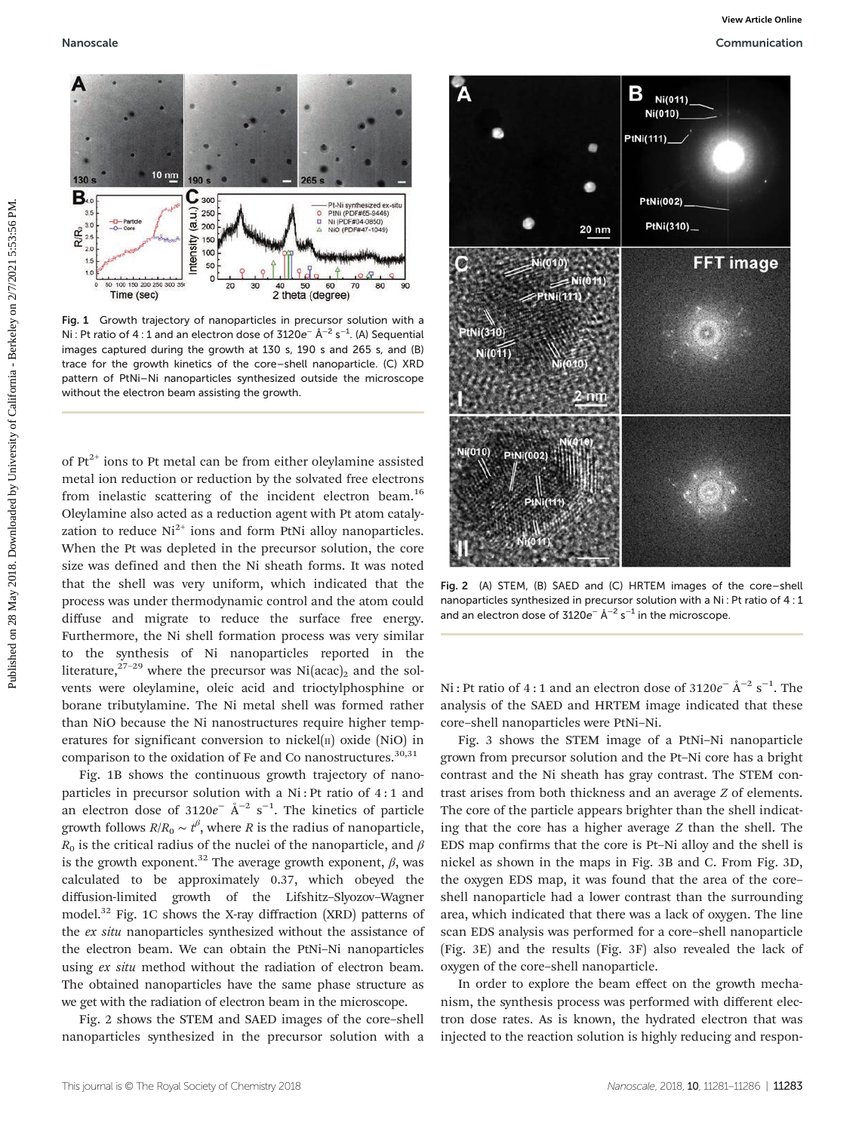

Fig. 1 Growth trajectory of nanoparticles in precursor solution with a Ni : Pt ratio of 4 : 1 and an electron dose of 3120e<sup>-</sup> Å<sup>-2</sup> s<sup>-1</sup>. (A) Sequential images captured during the growth at 130 s, 190 s and 265 s, and (B) trace for the growth kinetics of the core–shell nanoparticle. (C) XRD pattern of PtNi–Ni nanoparticles synthesized outside the microscope without the electron beam assisting the growth.

of  $Pt^{2+}$  ions to Pt metal can be from either oleylamine assisted metal ion reduction or reduction by the solvated free electrons from inelastic scattering of the incident electron beam.<sup>16</sup> Oleylamine also acted as a reduction agent with Pt atom catalyzation to reduce  $Ni<sup>2+</sup>$  ions and form PtNi alloy nanoparticles. When the Pt was depleted in the precursor solution, the core size was defined and then the Ni sheath forms. It was noted that the shell was very uniform, which indicated that the process was under thermodynamic control and the atom could diffuse and migrate to reduce the surface free energy. Furthermore, the Ni shell formation process was very similar to the synthesis of Ni nanoparticles reported in the literature,<sup>27–29</sup> where the precursor was Ni(acac)<sub>2</sub> and the solvents were oleylamine, oleic acid and trioctylphosphine or borane tributylamine. The Ni metal shell was formed rather than NiO because the Ni nanostructures require higher temperatures for significant conversion to nickel( $\pi$ ) oxide (NiO) in comparison to the oxidation of Fe and Co nanostructures.<sup>30,31</sup>

Fig. 1B shows the continuous growth trajectory of nanoparticles in precursor solution with a Ni : Pt ratio of 4 : 1 and an electron dose of 3120 $e^-$  Å<sup>-2</sup> s<sup>-1</sup>. The kinetics of particle growth follows  $R/R_0 \sim t^{\beta}$ , where R is the radius of nanoparticle,  $R_0$  is the critical radius of the nuclei of the nanoparticle, and  $\beta$ is the growth exponent.<sup>32</sup> The average growth exponent,  $\beta$ , was calculated to be approximately 0.37, which obeyed the diffusion-limited growth of the Lifshitz–Slyozov–Wagner model.32 Fig. 1C shows the X-ray diffraction (XRD) patterns of the ex situ nanoparticles synthesized without the assistance of the electron beam. We can obtain the PtNi–Ni nanoparticles using ex situ method without the radiation of electron beam. The obtained nanoparticles have the same phase structure as we get with the radiation of electron beam in the microscope.

Fig. 2 shows the STEM and SAED images of the core–shell nanoparticles synthesized in the precursor solution with a



Fig. 2 (A) STEM, (B) SAED and (C) HRTEM images of the core–shell nanoparticles synthesized in precursor solution with a Ni : Pt ratio of 4 : 1 and an electron dose of  $3120e^-$  Å<sup>-2</sup> s<sup>-1</sup> in the microscope.

Ni : Pt ratio of 4 : 1 and an electron dose of 3120 $e^-$  Å<sup>-2</sup> s<sup>-1</sup>. The analysis of the SAED and HRTEM image indicated that these core–shell nanoparticles were PtNi–Ni.

Fig. 3 shows the STEM image of a PtNi–Ni nanoparticle grown from precursor solution and the Pt–Ni core has a bright contrast and the Ni sheath has gray contrast. The STEM contrast arises from both thickness and an average Z of elements. The core of the particle appears brighter than the shell indicating that the core has a higher average Z than the shell. The EDS map confirms that the core is Pt–Ni alloy and the shell is nickel as shown in the maps in Fig. 3B and C. From Fig. 3D, the oxygen EDS map, it was found that the area of the core– shell nanoparticle had a lower contrast than the surrounding area, which indicated that there was a lack of oxygen. The line scan EDS analysis was performed for a core–shell nanoparticle (Fig. 3E) and the results (Fig. 3F) also revealed the lack of oxygen of the core–shell nanoparticle.

In order to explore the beam effect on the growth mechanism, the synthesis process was performed with different electron dose rates. As is known, the hydrated electron that was injected to the reaction solution is highly reducing and respon-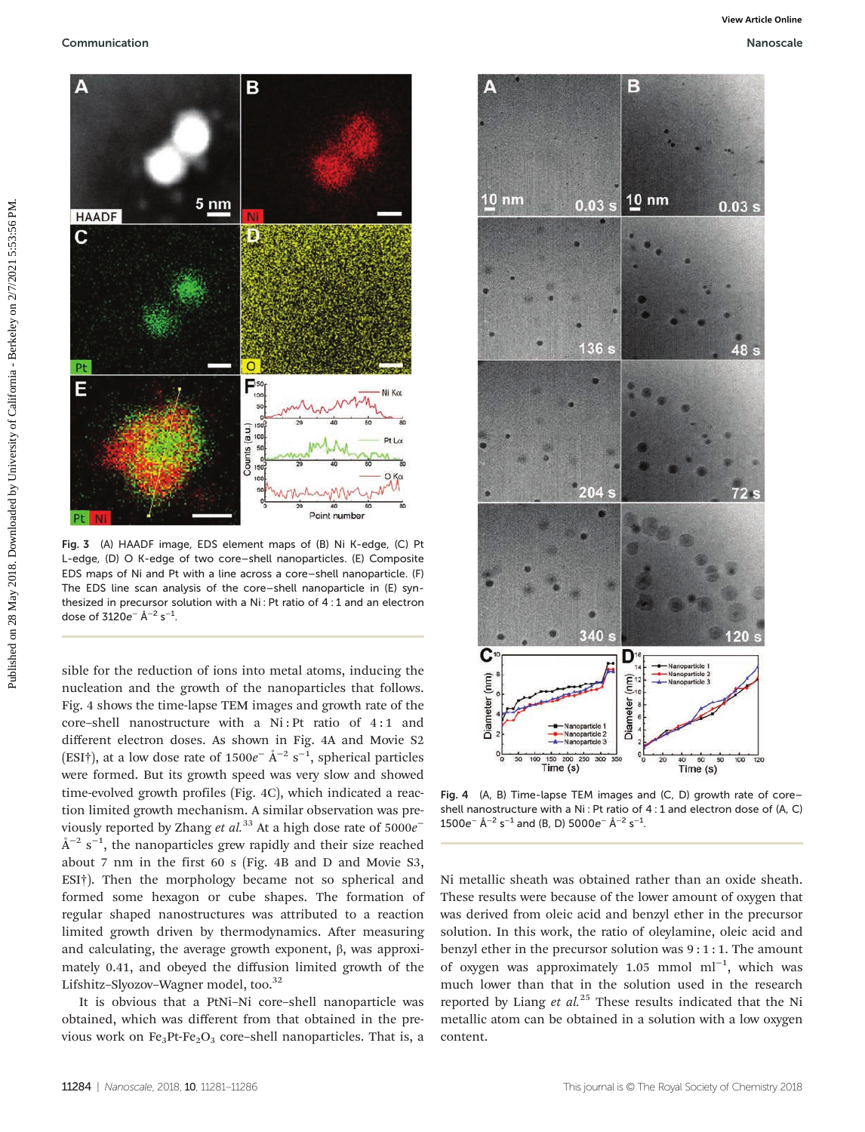

Fig. 3 (A) HAADF image, EDS element maps of (B) Ni K-edge, (C) Pt L-edge, (D) O K-edge of two core–shell nanoparticles. (E) Composite EDS maps of Ni and Pt with a line across a core–shell nanoparticle. (F) The EDS line scan analysis of the core–shell nanoparticle in (E) synthesized in precursor solution with a Ni : Pt ratio of 4 : 1 and an electron dose of 3120e<sup>-</sup> Å<sup>-2</sup> s<sup>-1</sup>.

sible for the reduction of ions into metal atoms, inducing the nucleation and the growth of the nanoparticles that follows. Fig. 4 shows the time-lapse TEM images and growth rate of the core–shell nanostructure with a Ni : Pt ratio of 4 : 1 and different electron doses. As shown in Fig. 4A and Movie S2 (ESI†), at a low dose rate of  $1500e^-$  Å<sup>-2</sup> s<sup>-1</sup>, spherical particles were formed. But its growth speed was very slow and showed time-evolved growth profiles (Fig. 4C), which indicated a reaction limited growth mechanism. A similar observation was previously reported by Zhang *et al.*<sup>33</sup> At a high dose rate of  $5000e^ \AA^{-2}$  s<sup>-1</sup>, the nanoparticles grew rapidly and their size reached about 7 nm in the first 60 s (Fig. 4B and D and Movie S3, ESI†). Then the morphology became not so spherical and formed some hexagon or cube shapes. The formation of regular shaped nanostructures was attributed to a reaction limited growth driven by thermodynamics. After measuring and calculating, the average growth exponent, β, was approximately 0.41, and obeyed the diffusion limited growth of the Lifshitz-Slyozov-Wagner model, too.<sup>32</sup>

It is obvious that a PtNi–Ni core–shell nanoparticle was obtained, which was different from that obtained in the previous work on  $Fe<sub>3</sub>Pt-Fe<sub>2</sub>O<sub>3</sub>$  core–shell nanoparticles. That is, a



Fig. 4 (A, B) Time-lapse TEM images and (C, D) growth rate of core– shell nanostructure with a Ni : Pt ratio of 4 : 1 and electron dose of (A, C)  $1500e^-$  Å<sup>−2</sup> s<sup>−1</sup> and (B, D)  $5000e^-$  Å<sup>−2</sup> s<sup>−1</sup>.

Ni metallic sheath was obtained rather than an oxide sheath. These results were because of the lower amount of oxygen that was derived from oleic acid and benzyl ether in the precursor solution. In this work, the ratio of oleylamine, oleic acid and benzyl ether in the precursor solution was 9 : 1 : 1. The amount of oxygen was approximately 1.05 mmol ml<sup>-1</sup>, which was much lower than that in the solution used in the research reported by Liang et  $al^{25}$  These results indicated that the Ni metallic atom can be obtained in a solution with a low oxygen content.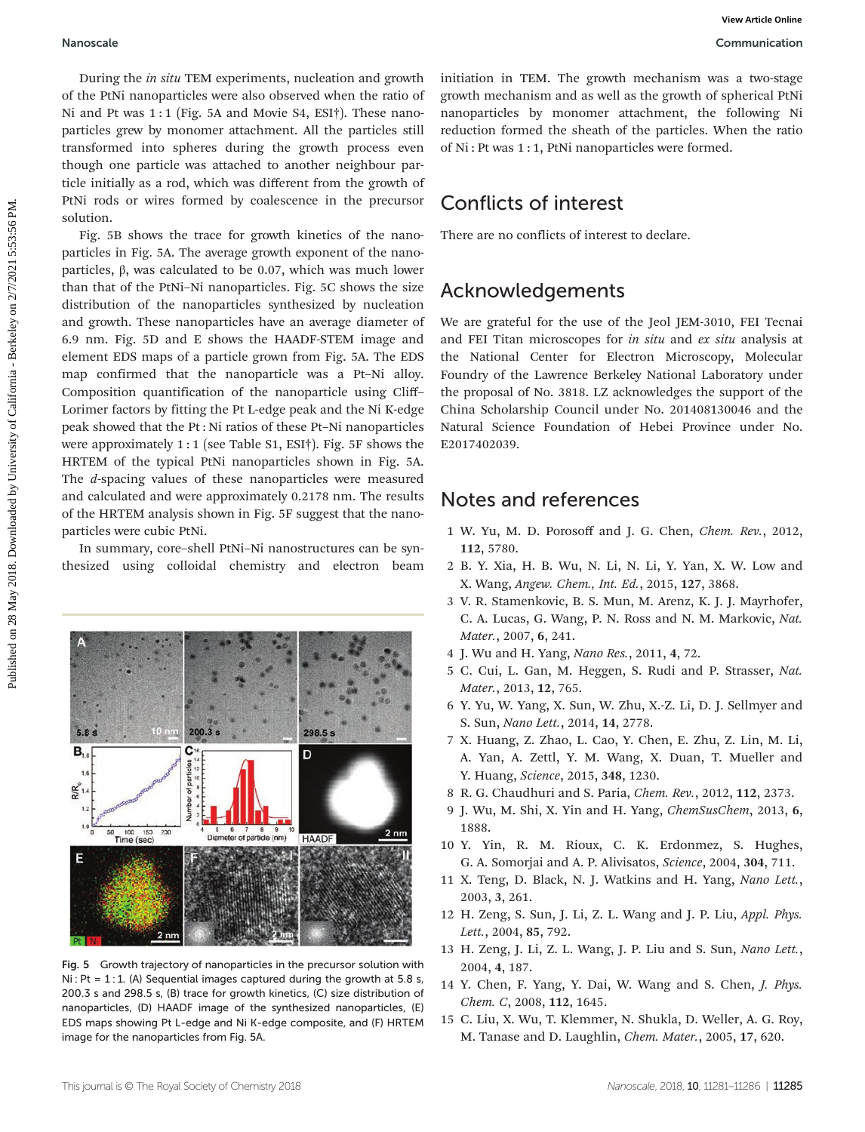During the in situ TEM experiments, nucleation and growth of the PtNi nanoparticles were also observed when the ratio of Ni and Pt was 1:1 (Fig. 5A and Movie S4, ESI†). These nanoparticles grew by monomer attachment. All the particles still transformed into spheres during the growth process even though one particle was attached to another neighbour particle initially as a rod, which was different from the growth of PtNi rods or wires formed by coalescence in the precursor solution.

Fig. 5B shows the trace for growth kinetics of the nanoparticles in Fig. 5A. The average growth exponent of the nanoparticles, β, was calculated to be 0.07, which was much lower than that of the PtNi–Ni nanoparticles. Fig. 5C shows the size distribution of the nanoparticles synthesized by nucleation and growth. These nanoparticles have an average diameter of 6.9 nm. Fig. 5D and E shows the HAADF-STEM image and element EDS maps of a particle grown from Fig. 5A. The EDS map confirmed that the nanoparticle was a Pt–Ni alloy. Composition quantification of the nanoparticle using Cliff– Lorimer factors by fitting the Pt L-edge peak and the Ni K-edge peak showed that the Pt : Ni ratios of these Pt–Ni nanoparticles were approximately 1 : 1 (see Table S1, ESI†). Fig. 5F shows the HRTEM of the typical PtNi nanoparticles shown in Fig. 5A. The d-spacing values of these nanoparticles were measured and calculated and were approximately 0.2178 nm. The results of the HRTEM analysis shown in Fig. 5F suggest that the nanoparticles were cubic PtNi. Manotatie<br>
The *institute of the California and grooth* initiation in TTM. The grooth mechanism communication<br>
of the National System in the particle of California - Berkeley on 2021<br>
published particle with the particle o

In summary, core–shell PtNi–Ni nanostructures can be synthesized using colloidal chemistry and electron beam



Fig. 5 Growth trajectory of nanoparticles in the precursor solution with  $Ni : Pt = 1:1.$  (A) Sequential images captured during the growth at 5.8 s, 200.3 s and 298.5 s, (B) trace for growth kinetics, (C) size distribution of nanoparticles, (D) HAADF image of the synthesized nanoparticles, (E) EDS maps showing Pt L-edge and Ni K-edge composite, and (F) HRTEM image for the nanoparticles from Fig. 5A.

initiation in TEM. The growth mechanism was a two-stage growth mechanism and as well as the growth of spherical PtNi nanoparticles by monomer attachment, the following Ni reduction formed the sheath of the particles. When the ratio of Ni : Pt was 1 : 1, PtNi nanoparticles were formed.

## Conflicts of interest

There are no conflicts of interest to declare.

## Acknowledgements

We are grateful for the use of the Jeol JEM-3010, FEI Tecnai and FEI Titan microscopes for in situ and ex situ analysis at the National Center for Electron Microscopy, Molecular Foundry of the Lawrence Berkeley National Laboratory under the proposal of No. 3818. LZ acknowledges the support of the China Scholarship Council under No. 201408130046 and the Natural Science Foundation of Hebei Province under No. E2017402039.

### Notes and references

- 1 W. Yu, M. D. Porosoff and J. G. Chen, Chem. Rev., 2012, 112, 5780.
- 2 B. Y. Xia, H. B. Wu, N. Li, N. Li, Y. Yan, X. W. Low and X. Wang, Angew. Chem., Int. Ed., 2015, 127, 3868.
- 3 V. R. Stamenkovic, B. S. Mun, M. Arenz, K. J. J. Mayrhofer, C. A. Lucas, G. Wang, P. N. Ross and N. M. Markovic, Nat. Mater., 2007, 6, 241.
- 4 J. Wu and H. Yang, Nano Res., 2011, 4, 72.
- 5 C. Cui, L. Gan, M. Heggen, S. Rudi and P. Strasser, Nat. Mater., 2013, 12, 765.
- 6 Y. Yu, W. Yang, X. Sun, W. Zhu, X.-Z. Li, D. J. Sellmyer and S. Sun, Nano Lett., 2014, 14, 2778.
- 7 X. Huang, Z. Zhao, L. Cao, Y. Chen, E. Zhu, Z. Lin, M. Li, A. Yan, A. Zettl, Y. M. Wang, X. Duan, T. Mueller and Y. Huang, Science, 2015, 348, 1230.
- 8 R. G. Chaudhuri and S. Paria, Chem. Rev., 2012, 112, 2373.
- 9 J. Wu, M. Shi, X. Yin and H. Yang, ChemSusChem, 2013, 6, 1888.
- 10 Y. Yin, R. M. Rioux, C. K. Erdonmez, S. Hughes, G. A. Somorjai and A. P. Alivisatos, Science, 2004, 304, 711.
- 11 X. Teng, D. Black, N. J. Watkins and H. Yang, Nano Lett., 2003, 3, 261.
- 12 H. Zeng, S. Sun, J. Li, Z. L. Wang and J. P. Liu, Appl. Phys. Lett., 2004, 85, 792.
- 13 H. Zeng, J. Li, Z. L. Wang, J. P. Liu and S. Sun, Nano Lett., 2004, 4, 187.
- 14 Y. Chen, F. Yang, Y. Dai, W. Wang and S. Chen, J. Phys. Chem. C, 2008, 112, 1645.
- 15 C. Liu, X. Wu, T. Klemmer, N. Shukla, D. Weller, A. G. Roy, M. Tanase and D. Laughlin, Chem. Mater., 2005, 17, 620.